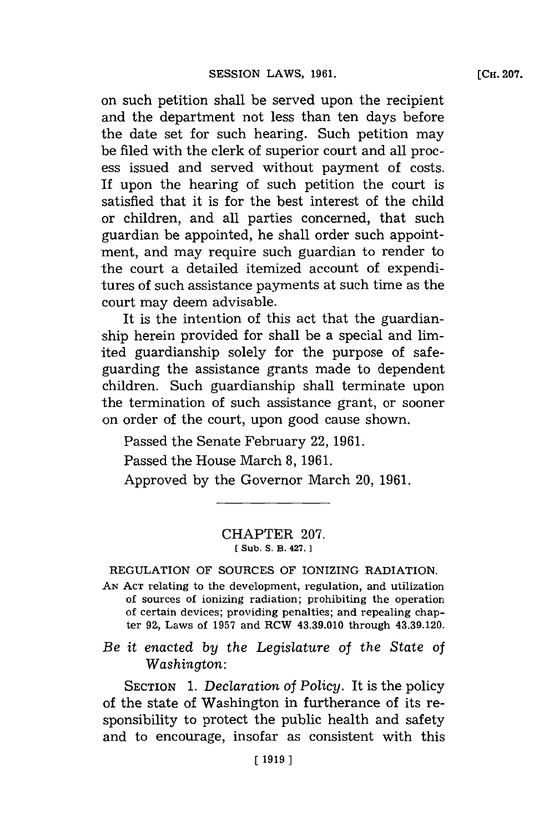on such petition shall be served upon the recipient and the department not less than ten days before the date set for such hearing. Such petition may be filed with the clerk of superior court and all process issued and served without payment of costs. If upon the hearing of such petition the court is satisfied that it is for the best interest of the child or children, and all parties concerned, that such guardian be appointed, he shall order such appointment, and may require such guardian to render to the court a detailed itemized account of expenditures of such assistance payments at such time as the court may deem advisable.

It is the intention of this act that the guardianship herein provided for shall be a special and limited guardianship solely for the purpose of safeguarding the assistance grants made to dependent children. Such guardianship shall terminate upon the termination of such assistance grant, or sooner on order of the court, upon good cause shown.

Passed the Senate February 22, **1961.**

Passed the House March **8, 1961.**

Approved **by** the Governor March 20, **1961.**

## CHAPTER **207. [ Sub. S. B. 427. 1**

REGULATION OF **SOURCES** OF IONIZING RADIATION.

**AN ACT** relating to the development, regulation, and utilization of sources of ionizing radiation; prohibiting the operation of certain devices; providing penalties; and repealing chapter 9Z, Laws of **1957** and RCW 43.39.010 through 43.39.120.

*Be it enacted by the Legislature of the State of Washington:*

SECTION **1.** *Declaration of Policy.* It is the policy of the state of Washington in furtherance of its responsibility to protect the public health and safety and to encourage, insofar as consistent with this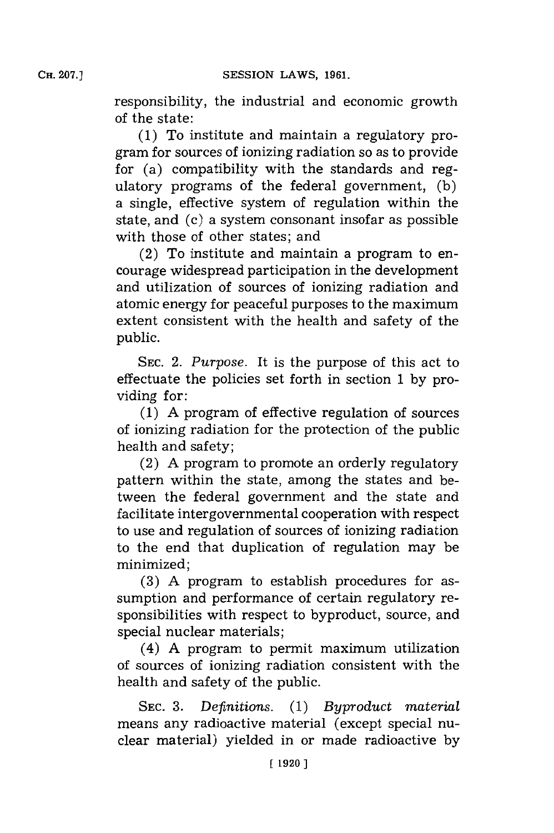**CH. 207.]**

responsibility, the industrial and economic growth of the state:

**(1)** To institute and maintain a regulatory program for sources of ionizing radiation so as to provide for (a) compatibility with the standards and regulatory programs of the federal government, **(b)** a single, effective system of regulation within the state, and (c) a system consonant insofar as possible with those of other states; and

(2) To institute and maintain a program to encourage widespread participation in the development and utilization of sources of ionizing radiation and atomic energy for peaceful purposes to the maximum extent consistent with the health and safety of the public.

**SEC.** 2. *Purpose.* It is the purpose of this act to effectuate the policies set forth in section **1 by** providing for:

**(1) A** program of effective regulation of sources of ionizing radiation for the protection of the public health and safety;

(2) **A** program to promote an orderly regulatory pattern within the state, among the states and between the federal government and the state and facilitate intergovernmental cooperation with respect to use and regulation of sources of ionizing radiation to the end that duplication of regulation may be minimized;

**(3) A** program to establish procedures for assumption and performance of certain regulatory responsibilities with respect to byproduct, source, and special nuclear materials;

(4) **A** program to permit maximum utilization of sources of ionizing radiation consistent with the health and safety of the public.

**SEC. 3.** *Definitions.* **(1)** *Byproduct material* means any radioactive material (except special nuclear material) yielded in or made radioactive **by**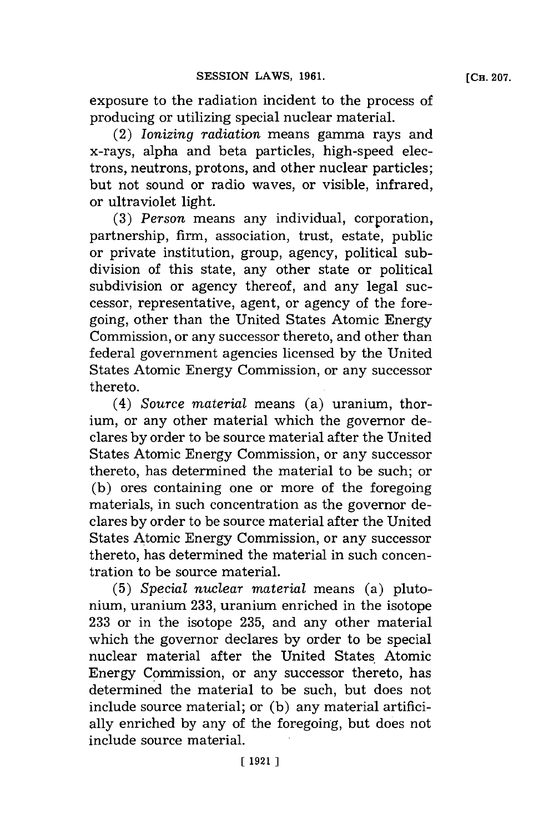exposure to the radiation incident to the process of producing or utilizing special nuclear material.

(2) *Ionizing radiation* means gamma rays and x-rays, alpha and beta particles, high-speed electrons, neutrons, protons, and other nuclear particles; but not sound or radio waves, or visible, infrared, or ultraviolet light.

**(3)** *Person* means any individual, corporation, partnership, firm, association, trust, estate, public or private institution, group, agency, political subdivision of this state, any other state or political subdivision or agency thereof, and any legal successor, representative, agent, or agency of the foregoing, other than the United States Atomic Energy Commission, or any successor thereto, and other than federal government agencies licensed **by** the United States Atomic Energy Commission, or any successor thereto.

(4) *Source material* means (a) uranium, thorium, or any other material which the governor declares **by** order to be source material after the United States Atomic Energy Commission, or any successor thereto, has determined the material to be such; or **(b)** ores containing one or more of the foregoing materials, in such concentration as the governor declares **by** order to be source material after the United States Atomic Energy Commission, or any successor thereto, has determined the material in such concentration to be source material.

**(5)** *Special nuclear material* means (a) plutonium, uranium **233,** uranium enriched in the isotope **233** or in the isotope **235,** and any other material which the governor declares **by** order to be special nuclear material after the United States Atomic Energy Commission, or any successor thereto, has determined the material to be such, but does not include source material; or **(b)** any material artificially enriched **by** any of the foregoing, but does not include source material.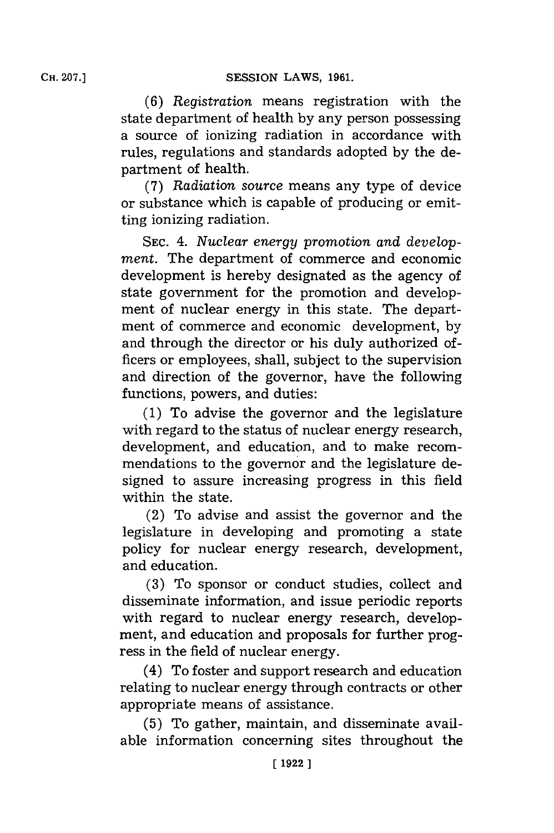*(6) Registration* means registration with the state department of health **by** any person possessing a source of ionizing radiation in accordance with rules, regulations and standards adopted **by** the department of health.

**(7)** *Radiation source* means any type of device or substance which is capable of producing or emitting ionizing radiation.

**SEC.** *4. Nuclear energy promotion and development.* The department of commerce and economic development is hereby designated as the agency of state government for the promotion and development of nuclear energy in this state. The department of commerce and economic development, **by** and through the director or his duly authorized officers or employees, shall, subject to the supervision and direction of the governor, have the following functions, powers, and duties:

**(1)** To advise the governor and the legislature with regard to the status of nuclear energy research, development, and education, and to make recommendations to the governor and the legislature designed to assure increasing progress in this field within the state.

(2) To advise and assist the governor and the legislature in developing and promoting a state policy for nuclear energy research, development, and education.

**(3)** To sponsor or conduct studies, collect and disseminate information, and issue periodic reports with regard to nuclear energy research, development, and education and proposals for further progress in the field of nuclear energy.

(4) To foster and support research and education relating to nuclear energy through contracts or other appropriate means of assistance.

**(5)** To gather, maintain, and disseminate available information concerning sites throughout the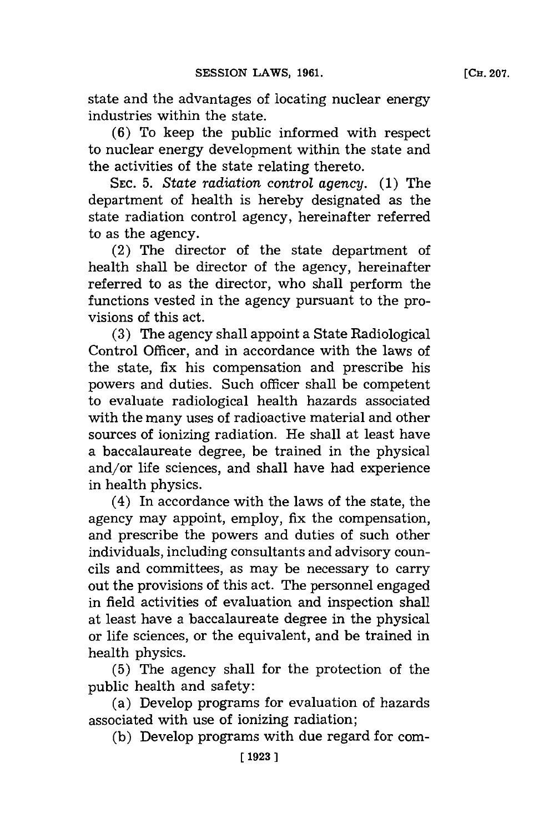state and the advantages of locating nuclear energy industries within the state.

**(6)** To keep the public informed with respect to nuclear energy development within the state and the activities of the state relating thereto.

**SEC. 5.** *State radiation control agency.* **(1)** The department of health is hereby designated as the state radiation control agency, hereinafter referred to as the agency.

(2) The director of the state department of health shall be director of the agency, hereinafter referred to as the director, who shall perform the functions vested in the agency pursuant to the provisions of this act.

**(3)** The agency shall appoint a State Radiological Control Officer, and in accordance with the laws of the state, fix his compensation and prescribe his powers and duties. Such officer shall be competent to evaluate radiological health hazards associated with the many uses of radioactive material and other sources of ionizing radiation. He shall at least have a baccalaureate degree, be trained in the physical and/or life sciences, and shall have had experience in health physics.

(4) In accordance with the laws of the state, the agency may appoint, employ, fix the compensation, and prescribe the powers and duties of such other individuals, including consultants and advisory councils and committees, as may be necessary to carry out the provisions of this act. The personnel engaged in field activities of evaluation and inspection shall at least have a baccalaureate degree in the physical or life sciences, or the equivalent, and be trained in health physics.

**(5)** The agency shall for the protection of the public health and safety:

(a) Develop programs for evaluation of hazards associated with use of ionizing radiation;

**(b)** Develop programs with due regard for com-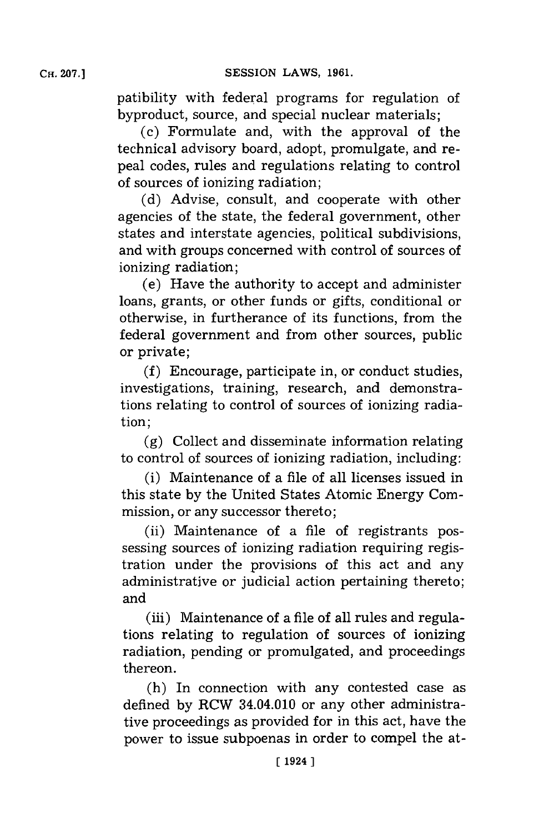patibility with federal programs for regulation of byproduct, source, and special nuclear materials;

(c) Formulate and, with the approval of the technical advisory board, adopt, promulgate, and repeal codes, rules and regulations relating to control of sources of ionizing radiation;

**(d)** Advise, consult, and cooperate with other agencies of the state, the federal government, other states and interstate agencies, political subdivisions, and with groups concerned with control of sources of ionizing radiation;

(e) Have the authority to accept and administer loans, grants, or other funds or gifts, conditional or otherwise, in furtherance of its functions, from the federal government and from other sources, public or private;

**(f)** Encourage, participate in, or conduct studies, investigations, training, research, and demonstrations relating to control of sources of ionizing radiation;

**(g)** Collect and disseminate information relating to control of sources of ionizing radiation, including:

(i) Maintenance of a file of all licenses issued in this state **by** the United States Atomic Energy Commission, or any successor thereto;

(ii) Maintenance of a file of registrants possessing sources of ionizing radiation requiring registration under the provisions of this act and any administrative or judicial action pertaining thereto; and

(iii) Maintenance of a file of all rules and regulations relating to regulation of sources of ionizing radiation, pending or promulgated, and proceedings thereon.

(h) In connection with any contested case as defined **by** RCW 34.04.010 or any other administrative proceedings as provided for in this act, have the power to issue subpoenas in order to compel the at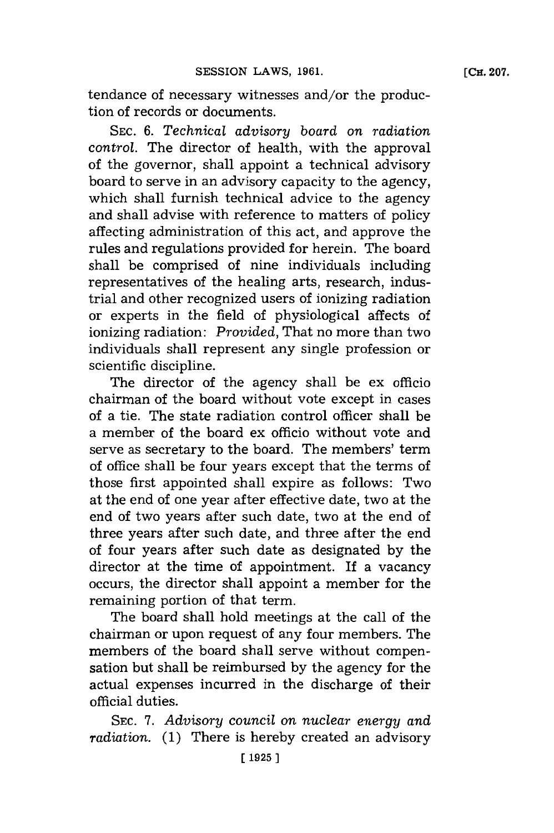tendance of necessary witnesses and/or the production of records or documents.

**SEC.** *6. Technical advisory board on radiation* control. The director of health, with the approval of the governor, shall appoint a technical advisory board to serve in an advisory capacity to the agency, which shall furnish technical advice to the agency and shall advise with reference to matters of policy affecting administration of this act, and approve the rules and regulations provided for herein. The board shall be comprised of nine individuals including representatives of the healing arts, research, industrial and other recognized users of ionizing radiation or experts in the field of physiological affects of ionizing radiation: *Provided,* That no more than two individuals shall represent any single profession or scientific discipline.

The director of the agency shall be ex officio chairman of the board without vote except in cases of a tie. The state radiation control officer shall be a member of the board ex officio without vote and serve as secretary to the board. The members' term of office shall be four years except that the terms of those first appointed shall expire as follows: Two at the end of one year after effective date, two at the end of two years after such date, two at the end of three years after such date, and three after the end of four years after such date as designated **by** the director at the time of appointment. If a vacancy occurs, the director shall appoint a member for the remaining portion of that term.

The board shall hold meetings at the call of the chairman or upon request of any four members. The members of the board shall serve without compensation but shall be reimbursed **by** the agency for the actual expenses incurred in the discharge of their official duties.

**SEC.** *7. Advisory council on nuclear energy and radiation.* **(1)** There is hereby created an advisory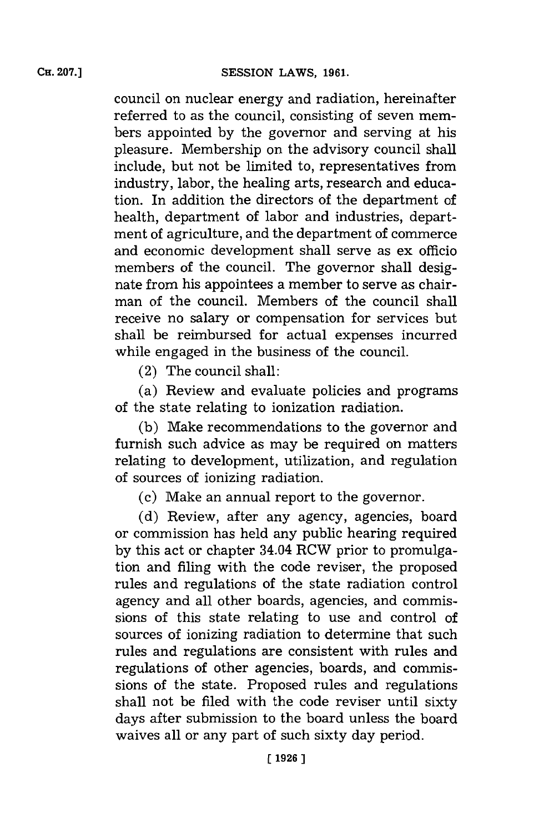council on nuclear energy and radiation, hereinafter referred to as the council, consisting of seven members appointed **by** the governor and serving at his pleasure. Membership on the advisory council shall include, but not be limited to, representatives from industry, labor, the healing arts, research and education. In addition the directors of the department of health, department of labor and industries, department of agriculture, and the department of commerce and economic development shall serve as ex officio members of the council. The governor shall designate from his appointees a member to serve as chairman of the council. Members of the council shall receive no salary or compensation for services but shall be reimbursed for actual expenses incurred while engaged in the business of the council.

(2) The council shall:

(a) Review and evaluate policies and programs of the state relating to ionization radiation.

**(b)** Make recommendations to the governor and furnish such advice as may be required on matters relating to development, utilization, and regulation of sources of ionizing radiation.

(c) Make an annual report to the governor.

**(d)** Review, after any agency, agencies, board or commission has held any public hearing required **by** this act or chapter 34.04 RCW prior to promulgation and filing with the code reviser, the proposed rules and regulations of the state radiation control agency and all other boards, agencies, and commissions of this state relating to use and control of sources of ionizing radiation to determine that such rules and regulations are consistent with rules and regulations of other agencies, boards, and commissions of the state. Proposed rules and regulations shall not be filed with the code reviser until sixty days after submission to the board unless the board waives all or any part of such sixty day period.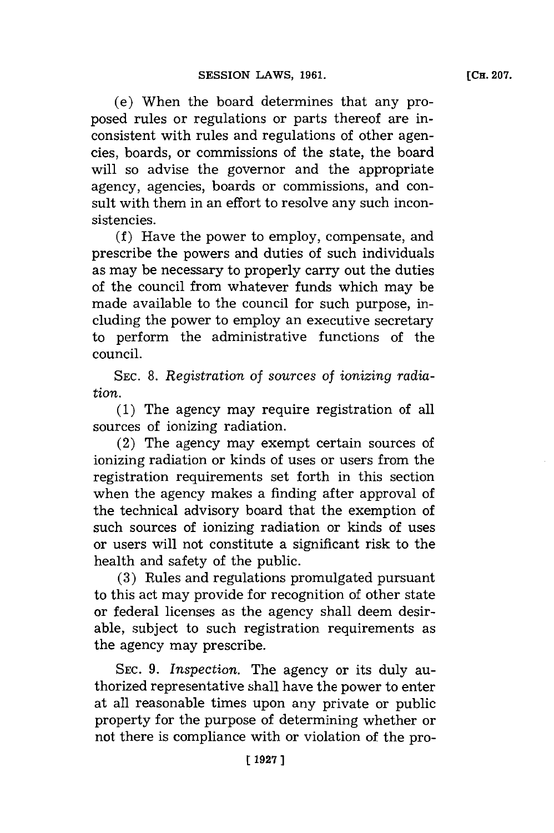(e) When the board determines that any proposed rules or regulations or parts thereof are inconsistent with rules and regulations of other agencies, boards, or commissions of the state, the board will so advise the governor and the appropriate agency, agencies, boards or commissions, and consult with them in an effort to resolve any such inconsistencies.

**(f)** Have the power to employ, compensate, and prescribe the powers and duties of such individuals as may be necessary to properly carry out the duties of the council from whatever funds which may be made available to the council for such purpose, including the power to employ an executive secretary to perform the administrative functions of the council.

**SEC. 8.** *Registration of sources of ionizing radiation.*

**(1)** The agency may require registration of all sources of ionizing radiation.

(2) The agency may exempt certain sources of ionizing radiation or kinds of uses or users from the registration requirements set forth in this section when the agency makes a finding after approval of the technical advisory board that the exemption of such sources of ionizing radiation or kinds of uses or users will not constitute a significant risk to the health and safety of the public.

**(3)** Rules and regulations promulgated pursuant to this act may provide for recognition of other state or federal licenses as the agency shall deem desirable, subject to such registration requirements as the agency may prescribe.

**SEC. 9.** *Inspection.* The agency or its duly authorized representative shall have the power to enter at all reasonable times upon any private or public property for the purpose of determining whether or not there is compliance with or violation of the pro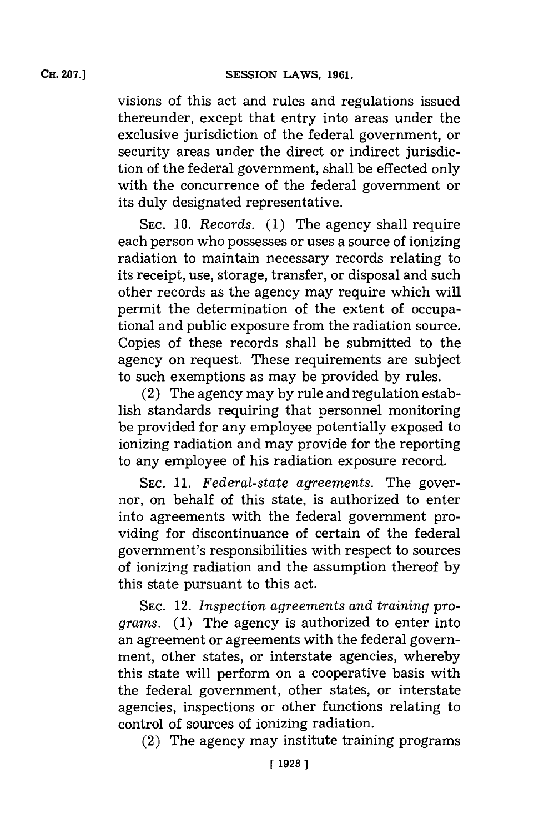visions of this act and rules and regulations issued thereunder, except that entry into areas under the exclusive jurisdiction of the federal government, or security areas under the direct or indirect jurisdiction of the federal government, shall be effected only with the concurrence of the federal government or its duly designated representative.

**SEC. 10.** *Records.* **(1)** The agency shall require each person who possesses or uses a source of ionizing radiation to maintain necessary records relating to its receipt, use, storage, transfer, or disposal and such other records as the agency may require which will permit the determination of the extent of occupational and public exposure from the radiation source. Copies of these records shall be submitted to the agency on request. These requirements are subject to such exemptions as may be provided **by** rules.

(2) The agency may **by** rule and regulation establish standards requiring that personnel monitoring be provided for any employee potentially exposed to ionizing radiation and may provide for the reporting to any employee of his radiation exposure record.

**SEC. 11.** *Federal-state agreements.* The governor, on behalf of this state, is authorized to enter into agreements with the federal government providing for discontinuance of certain of the federal government's responsibilities with respect to sources of ionizing radiation and the assumption thereof **by** this state pursuant to this act.

**SEC.** 12. *Inspection agreements and training programs.* **(1)** The agency is authorized to enter into an agreement or agreements with the federal government, other states, or interstate agencies, whereby this state will perform on a cooperative basis with the federal government, other states, or interstate agencies, inspections or other functions relating to control of sources of ionizing radiation.

(2) The agency may institute training programs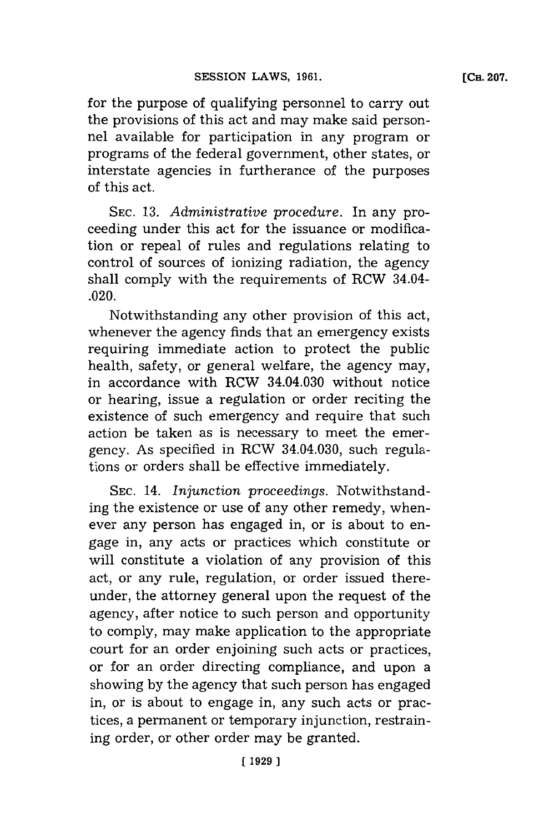for the purpose of qualifying personnel to carry out the provisions of this act and may make said personnel available for participation in any program or programs of the federal government, other states, or interstate agencies in furtherance of the purposes of this act.

**SEC. 13.** *Administrative procedure.* In any proceeding under this act for the issuance or modification or repeal of rules and regulations relating to control of sources of ionizing radiation, the agency shall comply with the requirements of RCW 34.04- .020.

Notwithstanding any other provision of this act, whenever the agency finds that an emergency exists requiring immediate action to protect the public health, safety, or general welfare, the agency may, in accordance with RCW 34.04.030 without notice or hearing, issue a regulation or order reciting the existence of such emergency and require that such action be taken as is necessary to meet the emergency. As specified in RCW 34.04.030, such regulations or orders shall be effective immediately.

**SEC.** 14. *Injunction proceedings.* Notwithstanding the existence or use of any other remedy, whenever any person has engaged in, or is about to engage in, any acts or practices which constitute or will constitute a violation of any provision of this act, or any rule, regulation, or order issued thereunder, the attorney general upon the request of the agency, after notice to such person and opportunity to comply, may make application to the appropriate court for an order enjoining such acts or practices, or for an order directing compliance, and upon a showing **by** the agency that such person has engaged in, or is about to engage in, any such acts or practices, a permanent or temporary injunction, restraining order, or other order may be granted.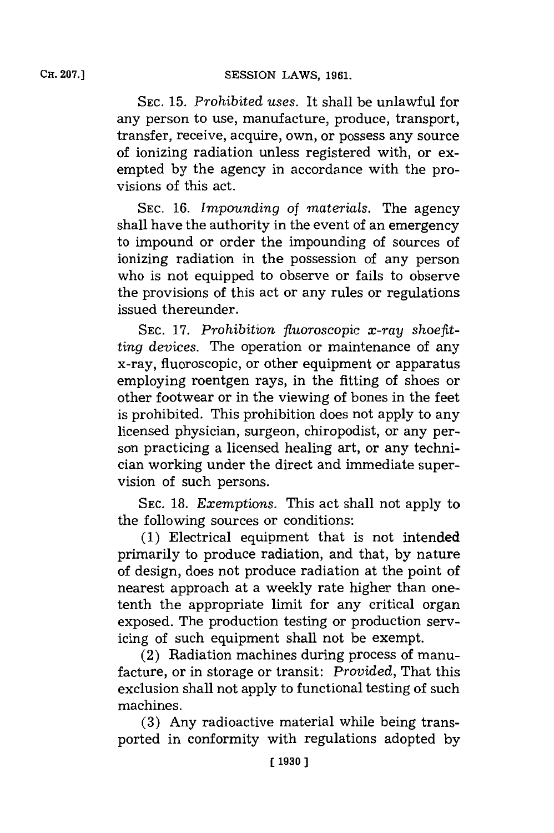**SEC. 15.** *Prohibited uses.* It shall be unlawful for any person to use, manufacture, produce, transport, transfer, receive, acquire, own, or possess any source of ionizing radiation unless registered with, or exempted **by** the agency in accordance with the provisions of this act.

**SEC. 16.** *Impounding of materials.* The agency shall have the authority in the event of an emergency to impound or order the impounding of sources of ionizing radiation in the possession of any person who is not equipped to observe or fails to observe the provisions of this act or any rules or regulations issued thereunder.

SEC. 17. Prohibition fluoroscopic x-ray shoefit*ting devices.* The operation or maintenance of any x-ray, fluoroscopic, or other equipment or apparatus employing roentgen rays, in the fitting of shoes or other footwear or in the viewing of bones in the feet is prohibited. This prohibition does not apply to any licensed physician, surgeon, chiropodist, or any person practicing a licensed healing art, or any technician working under the direct and immediate supervision of such persons.

**SEC. 18.** *Exemptions.* This act shall not apply to the following sources or conditions:

**(1)** Electrical equipment that is not intended primarily to produce radiation, and that, **by** nature of design, does not produce radiation at the point of nearest approach at a weekly rate higher than onetenth the appropriate limit for any critical organ exposed. The production testing or production servicing of such equipment shall not be exempt.

(2) Radiation machines during process of manufacture, or in storage or transit: *Provided,* That this exclusion shall not apply to functional testing of such machines.

**(3)** Any radioactive material while being transported in conformity with regulations adopted **by**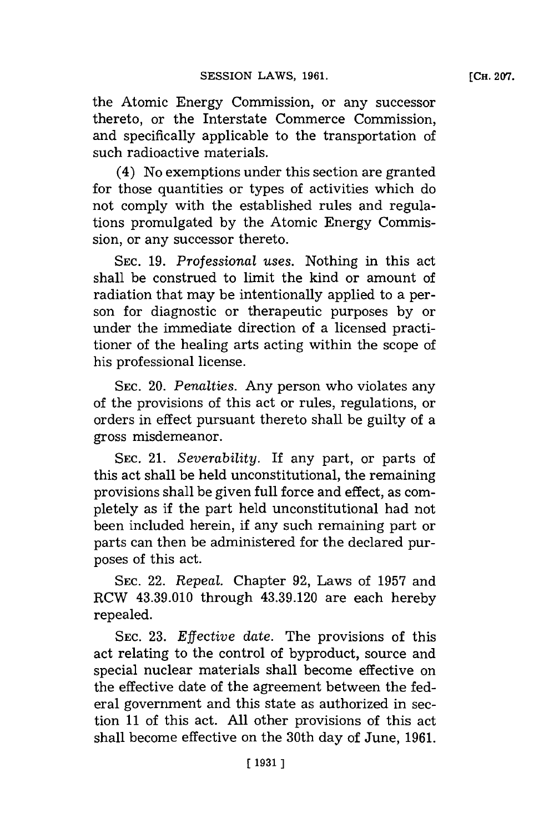**[CH. 207.**

the Atomic Energy Commission, or any successor thereto, or the Interstate Commerce Commission, and specifically applicable to the transportation of such radioactive materials.

(4) No exemptions under this section are granted for those quantities or types of activities which do not comply with the established rules and regulations promulgated **by** the Atomic Energy Commission, or any successor thereto.

**SEC. 19.** *Professional uses.* Nothing in this act shall be construed to limit the kind or amount of radiation that may be intentionally applied to a person for diagnostic or therapeutic purposes **by** or under the immediate direction of a licensed practitioner of the healing arts acting within the scope of his professional license.

**SEC.** 20. *Penalties.* Any person who violates any of the provisions of this act or rules, regulations, or orders in effect pursuant thereto shall be guilty of a gross misdemeanor.

**SEC.** 21. *Severability.* If any part, or parts of this act shall be held unconstitutional, the remaining provisions shall be given full force and effect, as completely as if the part held unconstitutional had not been included herein, if any such remaining part or parts can then be administered for the declared purposes of this act.

**SEC.** 22. *Repeal.* Chapter **92,** Laws of **1957** and RCW 43.39.010 through 43.39.120 are each hereby repealed.

**SEC. 23.** *Effective date.* The provisions of this act relating to the control of byproduct, source and special nuclear materials shall become effective on the effective date of the agreement between the federal govermnent and this state as authorized in section **11** of this act. **All** other provisions of this act shall become effective on the 30th day of June, **1961.**